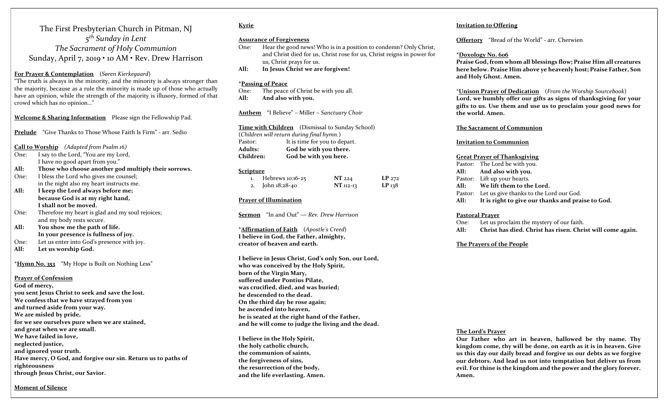The First Presbyterian Church in Pitman, NJ 5<sup>th</sup> Sunday in Lent The Sacrament of Holy Communion Sunday, April 7, 2019 • 10 AM • Rev. Drew Harrison

#### For Prayer & Contemplation (Søren Kierkegaard)

"The truth is always in the minority, and the minority is always stronger than the majority, because as a rule the minority is made up of those who actually have an opinion, while the strength of the majority is illusory, formed of that crowd which has no opinion…"

Welcome & Sharing Information Please sign the Fellowship Pad.

Prelude "Give Thanks to Those Whose Faith Is Firm" - arr. Sedio

Call to Worship (Adapted from Psalm 16)

- One: I say to the Lord, "You are my Lord, I have no good apart from you."
- All: Those who choose another god multiply their sorrows.
- One: I bless the Lord who gives me counsel; in the night also my heart instructs me.
- All: I keep the Lord always before me; because God is at my right hand, I shall not be moved.
- One: Therefore my heart is glad and my soul rejoices; and my body rests secure.
- All: You show me the path of life. In your presence is fullness of joy.
- One: Let us enter into God's presence with joy.
- All: Let us worship God.

\*Hymn No. 353 "My Hope is Built on Nothing Less"

Prayer of Confession God of mercy, you sent Jesus Christ to seek and save the lost. We confess that we have strayed from you and turned aside from your way. We are misled by pride, for we see ourselves pure when we are stained, and great when we are small. We have failed in love, neglected justice, and ignored your truth. Have mercy, O God, and forgive our sin. Return us to paths of righteousness through Jesus Christ, our Savior.

#### Kyrie

#### Assurance of Forgiveness

- One: Hear the good news! Who is in a position to condemn? Only Christ, and Christ died for us, Christ rose for us, Christ reigns in power for us, Christ prays for us.
- All: In Jesus Christ we are forgiven!

#### \*Passing of Peace

One: The peace of Christ be with you all. All: And also with you.

Anthem "I Believe" – Miller – Sanctuary Choir

Time with Children (Dismissal to Sunday School) (Children will return during final hymn.) Pastor: It is time for you to depart. Adults: God be with you there. Children: God be with you here.

#### **Scripture**

| Hebrews 10:16-25   | NT 224    | $LP_{272}$ |
|--------------------|-----------|------------|
| 2. John $18:28-40$ | NT 112-13 | $LP_{13}8$ |

#### Prayer of Illumination

Sermon "In and Out" — Rev. Drew Harrison

\*Affirmation of Faith (Apostle's Creed) I believe in God, the Father, almighty, creator of heaven and earth.

I believe in Jesus Christ, God's only Son, our Lord, who was conceived by the Holy Spirit, born of the Virgin Mary, suffered under Pontius Pilate, was crucified, died, and was buried; he descended to the dead. On the third day he rose again; he ascended into heaven, he is seated at the right hand of the Father, and he will come to judge the living and the dead.

I believe in the Holy Spirit, the holy catholic church, the communion of saints, the forgiveness of sins, the resurrection of the body, and the life everlasting. Amen.

#### Invitation to Offering

Offertory "Bread of the World" - arr. Cherwien

#### \*Doxology No. 606

Praise God, from whom all blessings flow; Praise Him all creatures here below. Praise Him above ye heavenly host; Praise Father, Son and Holy Ghost. Amen.

\*Unison Prayer of Dedication (From the Worship Sourcebook) Lord, we humbly offer our gifts as signs of thanksgiving for your gifts to us. Use them and use us to proclaim your good news for the world. Amen.

#### The Sacrament of Communion

#### Invitation to Communion

#### Great Prayer of Thanksgiving

| Pastor: The Lord be with you.                          |  |
|--------------------------------------------------------|--|
| All: And also with you.                                |  |
| Pastor: Lift up your hearts.                           |  |
| All: We lift them to the Lord.                         |  |
| Pastor: Let us give thanks to the Lord our God.        |  |
| All: It is right to give our thanks and praise to God. |  |

#### Pastoral Prayer

One: Let us proclaim the mystery of our faith.

All: Christ has died. Christ has risen. Christ will come again.

#### The Prayers of the People

#### The Lord's Prayer

Our Father who art in heaven, hallowed be thy name. Thy kingdom come, thy will be done, on earth as it is in heaven. Give us this day our daily bread and forgive us our debts as we forgive our debtors. And lead us not into temptation but deliver us from evil. For thine is the kingdom and the power and the glory forever. Amen.

Moment of Silence